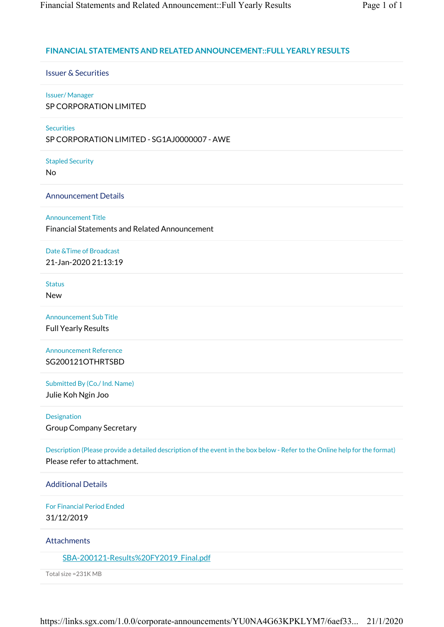## **FINANCIAL STATEMENTS AND RELATED ANNOUNCEMENT::FULL YEARLY RESULTS**

Issuer & Securities

## Issuer/ Manager

SP CORPORATION LIMITED

## **Securities**

SP CORPORATION LIMITED - SG1AJ0000007 - AWE

Stapled Security

No

Announcement Details

Announcement Title

Financial Statements and Related Announcement

Date &Time of Broadcast 21-Jan-2020 21:13:19

Status New

Announcement Sub Title Full Yearly Results

Announcement Reference SG200121OTHRTSBD

Submitted By (Co./ Ind. Name)

Julie Koh Ngin Joo

Designation

Group Company Secretary

Description (Please provide a detailed description of the event in the box below - Refer to the Online help for the format) Please refer to attachment.

Additional Details

For Financial Period Ended 31/12/2019

**Attachments** 

SBA-200121-Results%20FY2019 Final.pdf

Total size =231K MB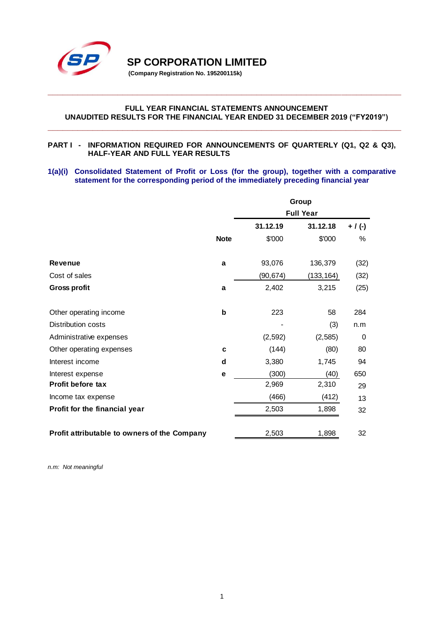

**SP CORPORATION LIMITED** 

**(Company Registration No. 195200115k)**

### **FULL YEAR FINANCIAL STATEMENTS ANNOUNCEMENT UNAUDITED RESULTS FOR THE FINANCIAL YEAR ENDED 31 DECEMBER 2019 ("FY2019")**

**\_\_\_\_\_\_\_\_\_\_\_\_\_\_\_\_\_\_\_\_\_\_\_\_\_\_\_\_\_\_\_\_\_\_\_\_\_\_\_\_\_\_\_\_\_\_\_\_\_\_\_\_\_\_\_\_\_\_\_\_\_\_\_\_\_\_\_\_\_\_\_**

**\_\_\_\_\_\_\_\_\_\_\_\_\_\_\_\_\_\_\_\_\_\_\_\_\_\_\_\_\_\_\_\_\_\_\_\_\_\_\_\_\_\_\_\_\_\_\_\_\_\_\_\_\_\_\_\_\_\_\_\_\_\_\_\_\_\_\_\_\_\_\_**

### **PART I - INFORMATION REQUIRED FOR ANNOUNCEMENTS OF QUARTERLY (Q1, Q2 & Q3), HALF-YEAR AND FULL YEAR RESULTS**

### **1(a)(i) Consolidated Statement of Profit or Loss (for the group), together with a comparative statement for the corresponding period of the immediately preceding financial year**

|                                              | Group       |          |                  |           |  |
|----------------------------------------------|-------------|----------|------------------|-----------|--|
|                                              |             |          | <b>Full Year</b> |           |  |
|                                              |             | 31.12.19 | 31.12.18         | $+$ / (-) |  |
|                                              | <b>Note</b> | \$'000   | \$'000           | $\%$      |  |
| <b>Revenue</b>                               | a           | 93,076   | 136,379          | (32)      |  |
| Cost of sales                                |             | (90,674) | (133, 164)       | (32)      |  |
| <b>Gross profit</b>                          | a           | 2,402    | 3,215            | (25)      |  |
| Other operating income                       | b           | 223      | 58               | 284       |  |
| Distribution costs                           |             |          | (3)              | n.m       |  |
| Administrative expenses                      |             | (2, 592) | (2, 585)         | 0         |  |
| Other operating expenses                     | C           | (144)    | (80)             | 80        |  |
| Interest income                              | d           | 3,380    | 1,745            | 94        |  |
| Interest expense                             | e           | (300)    | (40)             | 650       |  |
| Profit before tax                            |             | 2,969    | 2,310            | 29        |  |
| Income tax expense                           |             | (466)    | (412)            | 13        |  |
| Profit for the financial year                |             | 2,503    | 1,898            | 32        |  |
| Profit attributable to owners of the Company |             | 2,503    | 1,898            | 32        |  |

*n.m: Not meaningful*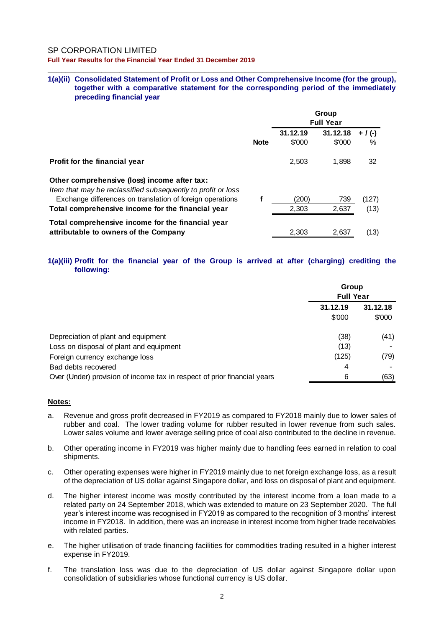SP CORPORATION LIMITED

**Full Year Results for the Financial Year Ended 31 December 2019**

#### **1(a)(ii) Consolidated Statement of Profit or Loss and Other Comprehensive Income (for the group), together with a comparative statement for the corresponding period of the immediately preceding financial year**

\_\_\_\_\_\_\_\_\_\_\_\_\_\_\_\_\_\_\_\_\_\_\_\_\_\_\_\_\_\_\_\_\_\_\_\_\_\_\_\_\_\_\_\_\_\_\_\_\_\_\_\_\_\_\_\_\_\_\_\_\_\_\_\_\_\_\_\_\_\_\_\_\_\_\_\_\_\_

|                                                                                                              |             | Group<br><b>Full Year</b> |                    |              |  |
|--------------------------------------------------------------------------------------------------------------|-------------|---------------------------|--------------------|--------------|--|
|                                                                                                              | <b>Note</b> | 31.12.19<br>\$'000        | 31.12.18<br>\$'000 | + / (-)<br>% |  |
| <b>Profit for the financial year</b>                                                                         |             | 2,503                     | 1,898              | 32           |  |
| Other comprehensive (loss) income after tax:<br>Item that may be reclassified subsequently to profit or loss |             |                           |                    |              |  |
| Exchange differences on translation of foreign operations                                                    |             | (200)                     | 739                | (127)        |  |
| Total comprehensive income for the financial year                                                            |             | 2,303                     | 2,637              | (13)         |  |
| Total comprehensive income for the financial year<br>attributable to owners of the Company                   |             | 2.303                     | 2,637              | (13)         |  |

### **1(a)(iii) Profit for the financial year of the Group is arrived at after (charging) crediting the following:**

|                                                                          | Group<br><b>Full Year</b> |                    |
|--------------------------------------------------------------------------|---------------------------|--------------------|
|                                                                          | 31.12.19<br>\$'000        | 31.12.18<br>\$'000 |
| Depreciation of plant and equipment                                      | (38)                      | (41)               |
| Loss on disposal of plant and equipment                                  | (13)                      |                    |
| Foreign currency exchange loss                                           | (125)                     | (79)               |
| Bad debts recovered                                                      | 4                         |                    |
| Over (Under) provision of income tax in respect of prior financial years | 6                         | (63)               |

#### **Notes:**

- a. Revenue and gross profit decreased in FY2019 as compared to FY2018 mainly due to lower sales of rubber and coal. The lower trading volume for rubber resulted in lower revenue from such sales. Lower sales volume and lower average selling price of coal also contributed to the decline in revenue.
- b. Other operating income in FY2019 was higher mainly due to handling fees earned in relation to coal shipments.
- c. Other operating expenses were higher in FY2019 mainly due to net foreign exchange loss, as a result of the depreciation of US dollar against Singapore dollar, and loss on disposal of plant and equipment.
- d. The higher interest income was mostly contributed by the interest income from a loan made to a related party on 24 September 2018, which was extended to mature on 23 September 2020. The full year's interest income was recognised in FY2019 as compared to the recognition of 3 months' interest income in FY2018. In addition, there was an increase in interest income from higher trade receivables with related parties.
- e. The higher utilisation of trade financing facilities for commodities trading resulted in a higher interest expense in FY2019.
- f. The translation loss was due to the depreciation of US dollar against Singapore dollar upon consolidation of subsidiaries whose functional currency is US dollar.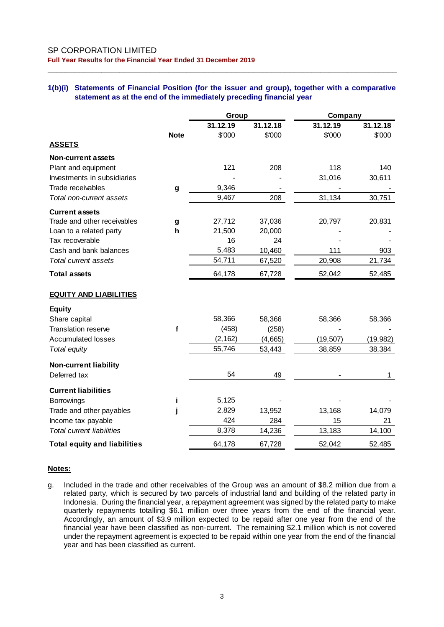#### **1(b)(i) Statements of Financial Position (for the issuer and group), together with a comparative statement as at the end of the immediately preceding financial year**

\_\_\_\_\_\_\_\_\_\_\_\_\_\_\_\_\_\_\_\_\_\_\_\_\_\_\_\_\_\_\_\_\_\_\_\_\_\_\_\_\_\_\_\_\_\_\_\_\_\_\_\_\_\_\_\_\_\_\_\_\_\_\_\_\_\_\_\_\_\_\_\_\_\_\_\_\_\_

|                                     | Group       |          |          | Company   |           |
|-------------------------------------|-------------|----------|----------|-----------|-----------|
|                                     |             | 31.12.19 | 31.12.18 | 31.12.19  | 31.12.18  |
|                                     | <b>Note</b> | \$'000   | \$'000   | \$'000    | \$'000    |
| <b>ASSETS</b>                       |             |          |          |           |           |
| <b>Non-current assets</b>           |             |          |          |           |           |
| Plant and equipment                 |             | 121      | 208      | 118       | 140       |
| Investments in subsidiaries         |             |          |          | 31,016    | 30,611    |
| Trade receivables                   | g           | 9,346    |          |           |           |
| Total non-current assets            |             | 9,467    | 208      | 31,134    | 30,751    |
| <b>Current assets</b>               |             |          |          |           |           |
| Trade and other receivables         | g           | 27,712   | 37,036   | 20,797    | 20,831    |
| Loan to a related party             | h           | 21,500   | 20,000   |           |           |
| Tax recoverable                     |             | 16       | 24       |           |           |
| Cash and bank balances              |             | 5,483    | 10,460   | 111       | 903       |
| Total current assets                |             | 54,711   | 67,520   | 20,908    | 21,734    |
| <b>Total assets</b>                 |             | 64,178   | 67,728   | 52,042    | 52,485    |
| <b>EQUITY AND LIABILITIES</b>       |             |          |          |           |           |
| <b>Equity</b>                       |             |          |          |           |           |
| Share capital                       |             | 58,366   | 58,366   | 58,366    | 58,366    |
| Translation reserve                 | f           | (458)    | (258)    |           |           |
| <b>Accumulated losses</b>           |             | (2, 162) | (4,665)  | (19, 507) | (19, 982) |
| Total equity                        |             | 55,746   | 53,443   | 38,859    | 38,384    |
| <b>Non-current liability</b>        |             |          |          |           |           |
| Deferred tax                        |             | 54       | 49       |           | 1         |
| <b>Current liabilities</b>          |             |          |          |           |           |
| Borrowings                          | Ť           | 5,125    |          |           |           |
| Trade and other payables            |             | 2,829    | 13,952   | 13,168    | 14,079    |
| Income tax payable                  |             | 424      | 284      | 15        | 21        |
| <b>Total current liabilities</b>    |             | 8,378    | 14,236   | 13,183    | 14,100    |
| <b>Total equity and liabilities</b> |             | 64,178   | 67,728   | 52,042    | 52,485    |

### **Notes:**

g. Included in the trade and other receivables of the Group was an amount of \$8.2 million due from a related party, which is secured by two parcels of industrial land and building of the related party in Indonesia. During the financial year, a repayment agreement was signed by the related party to make quarterly repayments totalling \$6.1 million over three years from the end of the financial year. Accordingly, an amount of \$3.9 million expected to be repaid after one year from the end of the financial year have been classified as non-current. The remaining \$2.1 million which is not covered under the repayment agreement is expected to be repaid within one year from the end of the financial year and has been classified as current.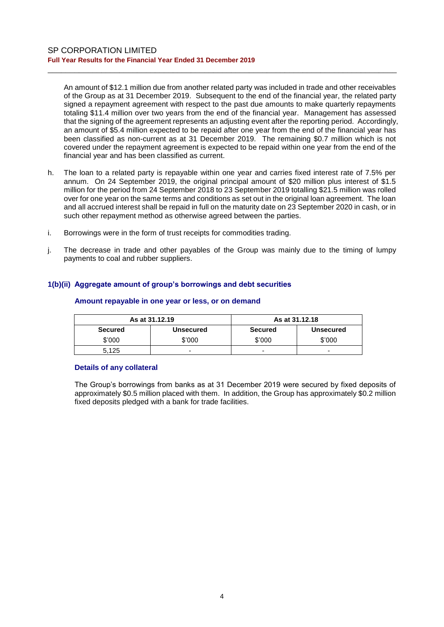An amount of \$12.1 million due from another related party was included in trade and other receivables of the Group as at 31 December 2019. Subsequent to the end of the financial year, the related party signed a repayment agreement with respect to the past due amounts to make quarterly repayments totaling \$11.4 million over two years from the end of the financial year. Management has assessed that the signing of the agreement represents an adjusting event after the reporting period. Accordingly, an amount of \$5.4 million expected to be repaid after one year from the end of the financial year has been classified as non-current as at 31 December 2019. The remaining \$0.7 million which is not covered under the repayment agreement is expected to be repaid within one year from the end of the financial year and has been classified as current.

\_\_\_\_\_\_\_\_\_\_\_\_\_\_\_\_\_\_\_\_\_\_\_\_\_\_\_\_\_\_\_\_\_\_\_\_\_\_\_\_\_\_\_\_\_\_\_\_\_\_\_\_\_\_\_\_\_\_\_\_\_\_\_\_\_\_\_\_\_\_\_\_\_\_\_\_\_\_

- h. The loan to a related party is repayable within one year and carries fixed interest rate of 7.5% per annum. On 24 September 2019, the original principal amount of \$20 million plus interest of \$1.5 million for the period from 24 September 2018 to 23 September 2019 totalling \$21.5 million was rolled over for one year on the same terms and conditions as set out in the original loan agreement. The loan and all accrued interest shall be repaid in full on the maturity date on 23 September 2020 in cash, or in such other repayment method as otherwise agreed between the parties.
- i. Borrowings were in the form of trust receipts for commodities trading.
- j. The decrease in trade and other payables of the Group was mainly due to the timing of lumpy payments to coal and rubber suppliers.

### **1(b)(ii) Aggregate amount of group's borrowings and debt securities**

|                | As at 31.12.19           | As at 31.12.18 |                  |  |
|----------------|--------------------------|----------------|------------------|--|
| <b>Secured</b> | <b>Unsecured</b>         | Secured        | <b>Unsecured</b> |  |
| \$'000         | \$'000                   | \$'000         | \$'000           |  |
| 5.125          | $\overline{\phantom{0}}$ | -              | -                |  |

#### **Amount repayable in one year or less, or on demand**

#### **Details of any collateral**

The Group's borrowings from banks as at 31 December 2019 were secured by fixed deposits of approximately \$0.5 million placed with them. In addition, the Group has approximately \$0.2 million fixed deposits pledged with a bank for trade facilities.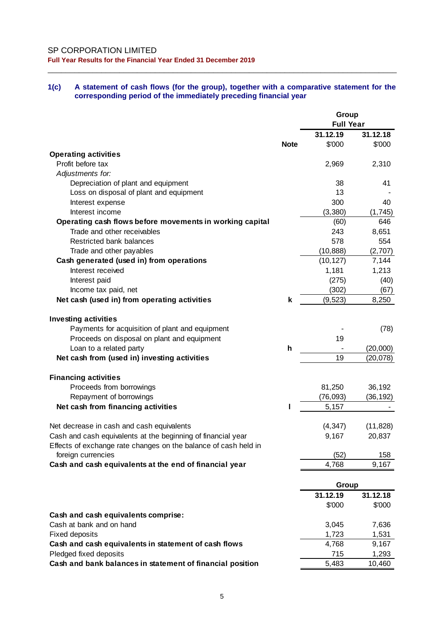#### **1(c) A statement of cash flows (for the group), together with a comparative statement for the corresponding period of the immediately preceding financial year**

|                                                                 |             | Group            |           |
|-----------------------------------------------------------------|-------------|------------------|-----------|
|                                                                 |             | <b>Full Year</b> |           |
|                                                                 |             | 31.12.19         | 31.12.18  |
|                                                                 | <b>Note</b> | \$'000           | \$'000    |
| <b>Operating activities</b>                                     |             |                  |           |
| Profit before tax                                               |             | 2,969            | 2,310     |
| Adjustments for:                                                |             |                  |           |
| Depreciation of plant and equipment                             |             | 38               | 41        |
| Loss on disposal of plant and equipment                         |             | 13               |           |
| Interest expense                                                |             | 300              | 40        |
| Interest income                                                 |             | (3, 380)         | (1,745)   |
| Operating cash flows before movements in working capital        |             | (60)             | 646       |
| Trade and other receivables                                     |             | 243              | 8,651     |
| Restricted bank balances                                        |             | 578              | 554       |
| Trade and other payables                                        |             | (10, 888)        | (2,707)   |
| Cash generated (used in) from operations                        |             | (10, 127)        | 7,144     |
| Interest received                                               |             | 1,181            | 1,213     |
| Interest paid                                                   |             | (275)            | (40)      |
| Income tax paid, net                                            |             | (302)            | (67)      |
| Net cash (used in) from operating activities                    | k           | (9, 523)         | 8,250     |
|                                                                 |             |                  |           |
| <b>Investing activities</b>                                     |             |                  |           |
| Payments for acquisition of plant and equipment                 |             |                  | (78)      |
| Proceeds on disposal on plant and equipment                     |             | 19               |           |
|                                                                 | h           |                  |           |
| Loan to a related party                                         |             | 19               | (20,000)  |
| Net cash from (used in) investing activities                    |             |                  | (20, 078) |
|                                                                 |             |                  |           |
| <b>Financing activities</b>                                     |             |                  |           |
| Proceeds from borrowings                                        |             | 81,250           | 36,192    |
| Repayment of borrowings                                         |             | (76, 093)        | (36, 192) |
| Net cash from financing activities                              |             | 5,157            |           |
|                                                                 |             |                  |           |
| Net decrease in cash and cash equivalents                       |             | (4, 347)         | (11, 828) |
| Cash and cash equivalents at the beginning of financial year    |             | 9,167            | 20,837    |
| Effects of exchange rate changes on the balance of cash held in |             |                  |           |
| foreign currencies                                              |             | (52)             | 158       |
| Cash and cash equivalents at the end of financial year          |             | 4,768            | 9,167     |
|                                                                 |             |                  |           |
|                                                                 |             | Group            |           |
|                                                                 |             | 31.12.19         | 31.12.18  |
|                                                                 |             | \$'000           | \$'000    |
| Cash and cash equivalents comprise:                             |             |                  |           |
| Cash at bank and on hand                                        |             | 3,045            | 7,636     |
| <b>Fixed deposits</b>                                           |             | 1,723            | 1,531     |
| Cash and cash equivalents in statement of cash flows            |             | 4,768            | 9,167     |
| Pledged fixed deposits                                          |             | 715              | 1,293     |
| Cash and bank balances in statement of financial position       |             | 5,483            | 10,460    |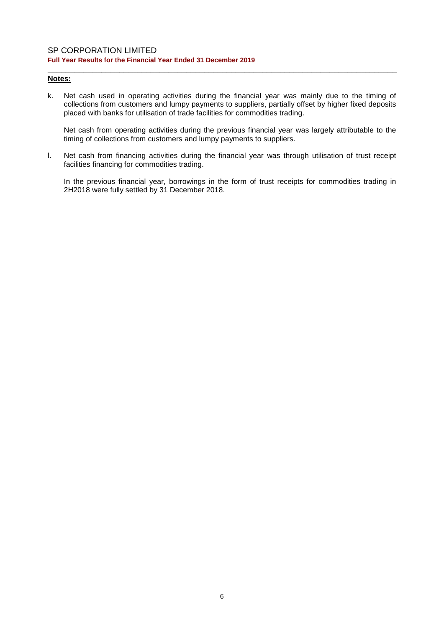### **Notes:**

k. Net cash used in operating activities during the financial year was mainly due to the timing of collections from customers and lumpy payments to suppliers, partially offset by higher fixed deposits placed with banks for utilisation of trade facilities for commodities trading.

\_\_\_\_\_\_\_\_\_\_\_\_\_\_\_\_\_\_\_\_\_\_\_\_\_\_\_\_\_\_\_\_\_\_\_\_\_\_\_\_\_\_\_\_\_\_\_\_\_\_\_\_\_\_\_\_\_\_\_\_\_\_\_\_\_\_\_\_\_\_\_\_\_\_\_\_\_\_

Net cash from operating activities during the previous financial year was largely attributable to the timing of collections from customers and lumpy payments to suppliers.

l. Net cash from financing activities during the financial year was through utilisation of trust receipt facilities financing for commodities trading.

In the previous financial year, borrowings in the form of trust receipts for commodities trading in 2H2018 were fully settled by 31 December 2018.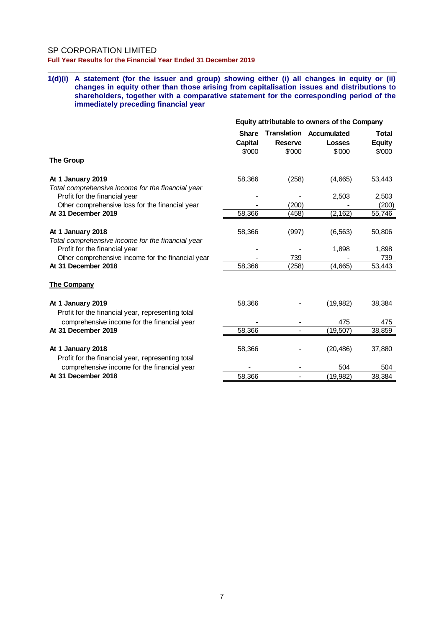#### SP CORPORATION LIMITED

**Full Year Results for the Financial Year Ended 31 December 2019**

#### **1(d)(i) A statement (for the issuer and group) showing either (i) all changes in equity or (ii) changes in equity other than those arising from capitalisation issues and distributions to shareholders, together with a comparative statement for the corresponding period of the immediately preceding financial year**

|                                                                        | Equity attributable to owners of the Company |                                                |                                        |                                         |  |
|------------------------------------------------------------------------|----------------------------------------------|------------------------------------------------|----------------------------------------|-----------------------------------------|--|
| <b>The Group</b>                                                       | <b>Share</b><br>Capital<br>\$'000            | <b>Translation</b><br><b>Reserve</b><br>\$'000 | Accumulated<br><b>Losses</b><br>\$'000 | <b>Total</b><br><b>Equity</b><br>\$'000 |  |
| At 1 January 2019<br>Total comprehensive income for the financial year | 58,366                                       | (258)                                          | (4,665)                                | 53,443                                  |  |
| Profit for the financial year                                          |                                              |                                                | 2,503                                  | 2,503                                   |  |
| Other comprehensive loss for the financial year                        |                                              | (200)                                          |                                        | (200)                                   |  |
| At 31 December 2019                                                    | 58,366                                       | (458)                                          | (2, 162)                               | 55,746                                  |  |
| At 1 January 2018<br>Total comprehensive income for the financial year | 58,366                                       | (997)                                          | (6, 563)                               | 50,806                                  |  |
| Profit for the financial year                                          |                                              |                                                | 1,898                                  | 1,898                                   |  |
| Other comprehensive income for the financial year                      |                                              | 739                                            |                                        | 739                                     |  |
| At 31 December 2018                                                    | 58,366                                       | (258)                                          | (4,665)                                | 53,443                                  |  |
| <b>The Company</b>                                                     |                                              |                                                |                                        |                                         |  |
| At 1 January 2019<br>Profit for the financial year, representing total | 58,366                                       |                                                | (19, 982)                              | 38,384                                  |  |
| comprehensive income for the financial year                            |                                              |                                                | 475                                    | 475                                     |  |
| At 31 December 2019                                                    | 58,366                                       |                                                | (19, 507)                              | 38,859                                  |  |
| At 1 January 2018<br>Profit for the financial year, representing total | 58,366                                       |                                                | (20, 486)                              | 37,880                                  |  |
| comprehensive income for the financial year                            |                                              |                                                | 504                                    | 504                                     |  |
| At 31 December 2018                                                    | 58,366                                       |                                                | (19, 982)                              | 38,384                                  |  |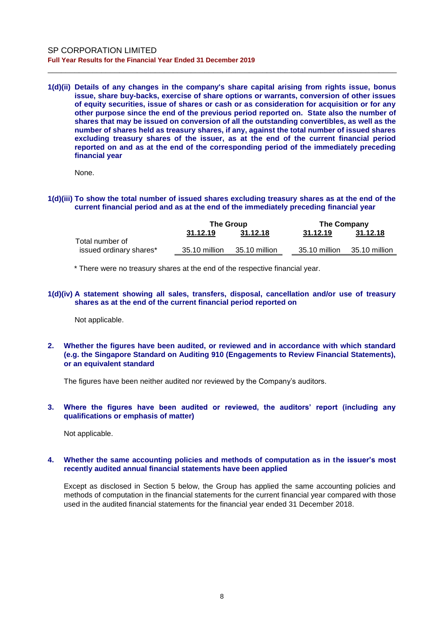**1(d)(ii) Details of any changes in the company's share capital arising from rights issue, bonus issue, share buy-backs, exercise of share options or warrants, conversion of other issues of equity securities, issue of shares or cash or as consideration for acquisition or for any other purpose since the end of the previous period reported on. State also the number of shares that may be issued on conversion of all the outstanding convertibles, as well as the number of shares held as treasury shares, if any, against the total number of issued shares excluding treasury shares of the issuer, as at the end of the current financial period reported on and as at the end of the corresponding period of the immediately preceding financial year**

\_\_\_\_\_\_\_\_\_\_\_\_\_\_\_\_\_\_\_\_\_\_\_\_\_\_\_\_\_\_\_\_\_\_\_\_\_\_\_\_\_\_\_\_\_\_\_\_\_\_\_\_\_\_\_\_\_\_\_\_\_\_\_\_\_\_\_\_\_\_\_\_\_\_\_\_\_\_

None.

#### **1(d)(iii) To show the total number of issued shares excluding treasury shares as at the end of the current financial period and as at the end of the immediately preceding financial year**

|                         | <b>The Group</b> |               | The Company |               |               |
|-------------------------|------------------|---------------|-------------|---------------|---------------|
|                         | 31.12.19         | 31.12.18      |             | 31.12.19      | 31.12.18      |
| Total number of         |                  |               |             |               |               |
| issued ordinary shares* | 35.10 million    | 35.10 million |             | 35.10 million | 35.10 million |

\* There were no treasury shares at the end of the respective financial year.

#### **1(d)(iv) A statement showing all sales, transfers, disposal, cancellation and/or use of treasury shares as at the end of the current financial period reported on**

Not applicable.

**2. Whether the figures have been audited, or reviewed and in accordance with which standard (e.g. the Singapore Standard on Auditing 910 (Engagements to Review Financial Statements), or an equivalent standard**

The figures have been neither audited nor reviewed by the Company's auditors.

#### **3. Where the figures have been audited or reviewed, the auditors' report (including any qualifications or emphasis of matter)**

Not applicable.

#### **4. Whether the same accounting policies and methods of computation as in the issuer's most recently audited annual financial statements have been applied**

Except as disclosed in Section 5 below, the Group has applied the same accounting policies and methods of computation in the financial statements for the current financial year compared with those used in the audited financial statements for the financial year ended 31 December 2018.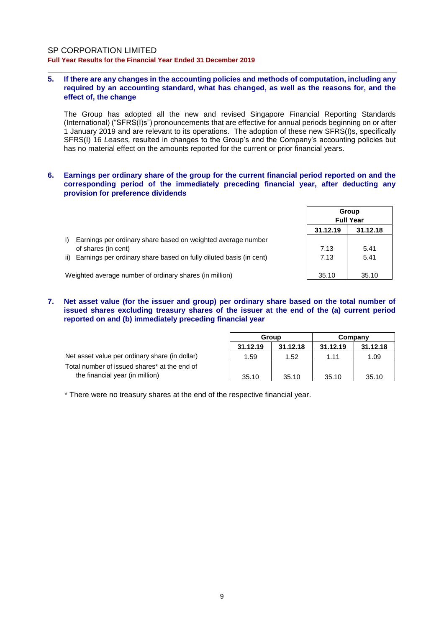#### **5. If there are any changes in the accounting policies and methods of computation, including any required by an accounting standard, what has changed, as well as the reasons for, and the effect of, the change**

\_\_\_\_\_\_\_\_\_\_\_\_\_\_\_\_\_\_\_\_\_\_\_\_\_\_\_\_\_\_\_\_\_\_\_\_\_\_\_\_\_\_\_\_\_\_\_\_\_\_\_\_\_\_\_\_\_\_\_\_\_\_\_\_\_\_\_\_\_\_\_\_\_\_\_\_\_\_

The Group has adopted all the new and revised Singapore Financial Reporting Standards (International) ("SFRS(I)s") pronouncements that are effective for annual periods beginning on or after 1 January 2019 and are relevant to its operations. The adoption of these new SFRS(I)s, specifically SFRS(I) 16 *Leases,* resulted in changes to the Group's and the Company's accounting policies but has no material effect on the amounts reported for the current or prior financial years.

#### **6. Earnings per ordinary share of the group for the current financial period reported on and the corresponding period of the immediately preceding financial year, after deducting any provision for preference dividends**

|                                                                        |          | Group<br><b>Full Year</b> |
|------------------------------------------------------------------------|----------|---------------------------|
|                                                                        | 31.12.19 | 31.12.18                  |
| Earnings per ordinary share based on weighted average number           |          |                           |
| of shares (in cent)                                                    | 7.13     | 5.41                      |
| ii) Earnings per ordinary share based on fully diluted basis (in cent) | 7.13     | 5.41                      |
| Weighted average number of ordinary shares (in million)                | 35.10    | 35.10                     |

#### **7. Net asset value (for the issuer and group) per ordinary share based on the total number of issued shares excluding treasury shares of the issuer at the end of the (a) current period reported on and (b) immediately preceding financial year**

|                                                | Group    |          |          | Company  |
|------------------------------------------------|----------|----------|----------|----------|
|                                                | 31.12.19 | 31.12.18 | 31.12.19 | 31.12.18 |
| Net asset value per ordinary share (in dollar) | 1.59     | 1.52     | 1.11     | 1.09     |
| Total number of issued shares* at the end of   |          |          |          |          |
| the financial year (in million)                | 35.10    | 35.10    | 35.10    | 35.10    |

\* There were no treasury shares at the end of the respective financial year.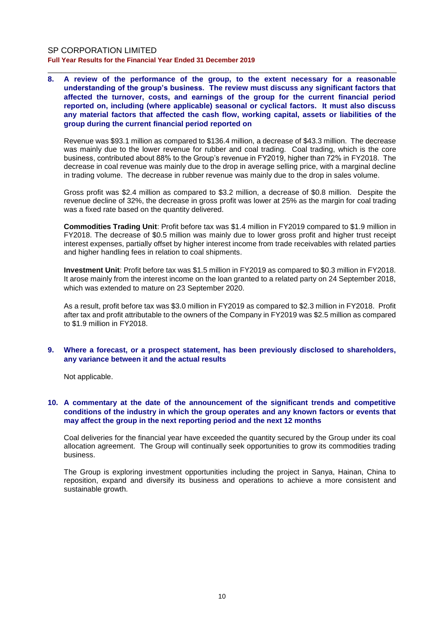**8. A review of the performance of the group, to the extent necessary for a reasonable understanding of the group's business. The review must discuss any significant factors that affected the turnover, costs, and earnings of the group for the current financial period reported on, including (where applicable) seasonal or cyclical factors. It must also discuss any material factors that affected the cash flow, working capital, assets or liabilities of the group during the current financial period reported on**

\_\_\_\_\_\_\_\_\_\_\_\_\_\_\_\_\_\_\_\_\_\_\_\_\_\_\_\_\_\_\_\_\_\_\_\_\_\_\_\_\_\_\_\_\_\_\_\_\_\_\_\_\_\_\_\_\_\_\_\_\_\_\_\_\_\_\_\_\_\_\_\_\_\_\_\_\_\_

Revenue was \$93.1 million as compared to \$136.4 million, a decrease of \$43.3 million. The decrease was mainly due to the lower revenue for rubber and coal trading. Coal trading, which is the core business, contributed about 88% to the Group's revenue in FY2019, higher than 72% in FY2018. The decrease in coal revenue was mainly due to the drop in average selling price, with a marginal decline in trading volume. The decrease in rubber revenue was mainly due to the drop in sales volume.

Gross profit was \$2.4 million as compared to \$3.2 million, a decrease of \$0.8 million. Despite the revenue decline of 32%, the decrease in gross profit was lower at 25% as the margin for coal trading was a fixed rate based on the quantity delivered.

**Commodities Trading Unit**: Profit before tax was \$1.4 million in FY2019 compared to \$1.9 million in FY2018. The decrease of \$0.5 million was mainly due to lower gross profit and higher trust receipt interest expenses, partially offset by higher interest income from trade receivables with related parties and higher handling fees in relation to coal shipments.

**Investment Unit**: Profit before tax was \$1.5 million in FY2019 as compared to \$0.3 million in FY2018. It arose mainly from the interest income on the loan granted to a related party on 24 September 2018, which was extended to mature on 23 September 2020.

As a result, profit before tax was \$3.0 million in FY2019 as compared to \$2.3 million in FY2018. Profit after tax and profit attributable to the owners of the Company in FY2019 was \$2.5 million as compared to \$1.9 million in FY2018.

#### **9. Where a forecast, or a prospect statement, has been previously disclosed to shareholders, any variance between it and the actual results**

Not applicable.

#### **10. A commentary at the date of the announcement of the significant trends and competitive conditions of the industry in which the group operates and any known factors or events that may affect the group in the next reporting period and the next 12 months**

Coal deliveries for the financial year have exceeded the quantity secured by the Group under its coal allocation agreement. The Group will continually seek opportunities to grow its commodities trading business.

The Group is exploring investment opportunities including the project in Sanya, Hainan, China to reposition, expand and diversify its business and operations to achieve a more consistent and sustainable growth.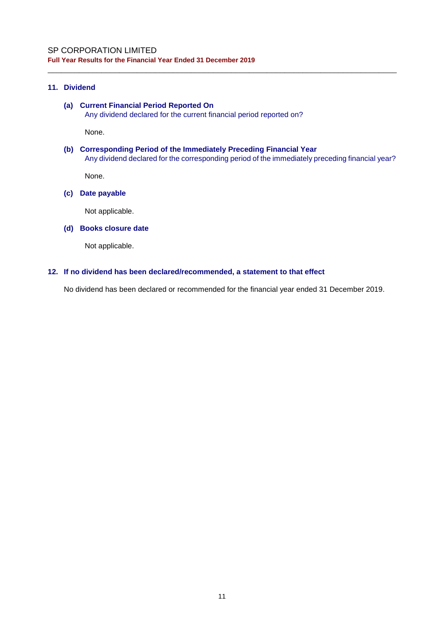### **11. Dividend**

### **(a) Current Financial Period Reported On** Any dividend declared for the current financial period reported on?

None.

**(b) Corresponding Period of the Immediately Preceding Financial Year** Any dividend declared for the corresponding period of the immediately preceding financial year?

\_\_\_\_\_\_\_\_\_\_\_\_\_\_\_\_\_\_\_\_\_\_\_\_\_\_\_\_\_\_\_\_\_\_\_\_\_\_\_\_\_\_\_\_\_\_\_\_\_\_\_\_\_\_\_\_\_\_\_\_\_\_\_\_\_\_\_\_\_\_\_\_\_\_\_\_\_\_

None.

#### **(c) Date payable**

Not applicable.

#### **(d) Books closure date**

Not applicable.

#### **12. If no dividend has been declared/recommended, a statement to that effect**

No dividend has been declared or recommended for the financial year ended 31 December 2019.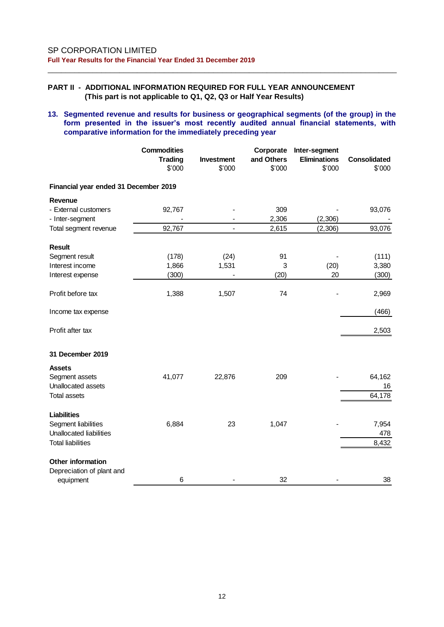### **PART II - ADDITIONAL INFORMATION REQUIRED FOR FULL YEAR ANNOUNCEMENT (This part is not applicable to Q1, Q2, Q3 or Half Year Results)**

#### **13. Segmented revenue and results for business or geographical segments (of the group) in the form presented in the issuer's most recently audited annual financial statements, with comparative information for the immediately preceding year**

|                                         | <b>Commodities</b><br><b>Trading</b><br>\$'000 | Investment<br>\$'000 | Corporate<br>and Others<br>\$'000 | Inter-segment<br><b>Eliminations</b><br>\$'000 | <b>Consolidated</b><br>\$'000 |
|-----------------------------------------|------------------------------------------------|----------------------|-----------------------------------|------------------------------------------------|-------------------------------|
| Financial year ended 31 December 2019   |                                                |                      |                                   |                                                |                               |
| Revenue                                 |                                                |                      |                                   |                                                |                               |
| - External customers<br>- Inter-segment | 92,767                                         |                      | 309<br>2,306                      | (2,306)                                        | 93,076                        |
| Total segment revenue                   | 92,767                                         |                      | 2,615                             | (2,306)                                        | 93,076                        |
| <b>Result</b>                           |                                                |                      |                                   |                                                |                               |
| Segment result                          | (178)                                          | (24)                 | 91                                |                                                | (111)                         |
| Interest income                         | 1,866                                          | 1,531                | 3                                 | (20)                                           | 3,380                         |
| Interest expense                        | (300)                                          |                      | (20)                              | 20                                             | (300)                         |
| Profit before tax                       | 1,388                                          | 1,507                | 74                                |                                                | 2,969                         |
| Income tax expense                      |                                                |                      |                                   |                                                | (466)                         |
| Profit after tax                        |                                                |                      |                                   |                                                | 2,503                         |
| 31 December 2019                        |                                                |                      |                                   |                                                |                               |
| <b>Assets</b>                           |                                                |                      |                                   |                                                |                               |
| Segment assets<br>Unallocated assets    | 41,077                                         | 22,876               | 209                               |                                                | 64,162<br>16                  |
| <b>Total assets</b>                     |                                                |                      |                                   |                                                | 64,178                        |
| <b>Liabilities</b>                      |                                                |                      |                                   |                                                |                               |
| Segment liabilities                     | 6,884                                          | 23                   | 1,047                             |                                                | 7,954                         |
| Unallocated liabilities                 |                                                |                      |                                   |                                                | 478                           |
| <b>Total liabilities</b>                |                                                |                      |                                   |                                                | 8,432                         |
| Other information                       |                                                |                      |                                   |                                                |                               |
| Depreciation of plant and               |                                                |                      |                                   |                                                |                               |
| equipment                               | 6                                              |                      | 32                                |                                                | 38                            |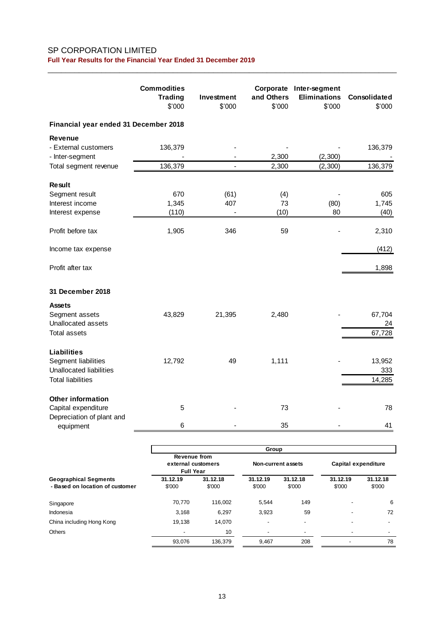|                                                 |         | \$'000                   | and Others<br>\$'000 | <b>Eliminations</b><br>\$'000 | Consolidated<br>\$'000 |
|-------------------------------------------------|---------|--------------------------|----------------------|-------------------------------|------------------------|
| Financial year ended 31 December 2018           |         |                          |                      |                               |                        |
| <b>Revenue</b>                                  |         |                          |                      |                               |                        |
| - External customers<br>- Inter-segment         | 136,379 |                          | 2,300                | (2,300)                       | 136,379                |
| Total segment revenue                           | 136,379 | $\overline{\phantom{a}}$ | 2,300                | (2,300)                       | 136,379                |
| <b>Result</b>                                   |         |                          |                      |                               |                        |
| Segment result                                  | 670     | (61)                     | (4)                  |                               | 605                    |
| Interest income                                 | 1,345   | 407                      | 73                   | (80)                          | 1,745                  |
| Interest expense                                | (110)   |                          | (10)                 | 80                            | (40)                   |
| Profit before tax                               | 1,905   | 346                      | 59                   |                               | 2,310                  |
| Income tax expense                              |         |                          |                      |                               | (412)                  |
| Profit after tax                                |         |                          |                      |                               | 1,898                  |
| 31 December 2018                                |         |                          |                      |                               |                        |
| <b>Assets</b>                                   |         |                          |                      |                               |                        |
| Segment assets                                  | 43,829  | 21,395                   | 2,480                |                               | 67,704                 |
| Unallocated assets                              |         |                          |                      |                               | 24                     |
| Total assets                                    |         |                          |                      |                               | 67,728                 |
| <b>Liabilities</b>                              |         |                          |                      |                               |                        |
| Segment liabilities                             | 12,792  | 49                       | 1,111                |                               | 13,952                 |
| <b>Unallocated liabilities</b>                  |         |                          |                      |                               | 333                    |
| <b>Total liabilities</b>                        |         |                          |                      |                               | 14,285                 |
| <b>Other information</b><br>Capital expenditure | 5       |                          | 73                   |                               | 78                     |
| Depreciation of plant and<br>equipment          | 6       |                          | 35                   |                               | 41                     |

|                                                                 | Group                                                  |                    |                          |                    |                     |                    |  |
|-----------------------------------------------------------------|--------------------------------------------------------|--------------------|--------------------------|--------------------|---------------------|--------------------|--|
|                                                                 | Revenue from<br>external customers<br><b>Full Year</b> |                    | Non-current assets       |                    | Capital expenditure |                    |  |
| <b>Geographical Segments</b><br>- Based on location of customer | 31.12.19<br>\$'000                                     | 31.12.18<br>\$'000 | 31.12.19<br>\$'000       | 31.12.18<br>\$'000 | 31.12.19<br>\$'000  | 31.12.18<br>\$'000 |  |
| Singapore                                                       | 70,770                                                 | 116.002            | 5.544                    | 149                |                     | 6                  |  |
| Indonesia                                                       | 3,168                                                  | 6,297              | 3,923                    | 59                 | -                   | 72                 |  |
| China including Hong Kong                                       | 19,138                                                 | 14,070             | ۰                        | -                  | ۰                   |                    |  |
| <b>Others</b>                                                   | $\overline{\phantom{a}}$                               | 10                 | $\overline{\phantom{a}}$ | -                  | -                   |                    |  |
|                                                                 | 93,076                                                 | 136.379            | 9,467                    | 208                |                     | 78                 |  |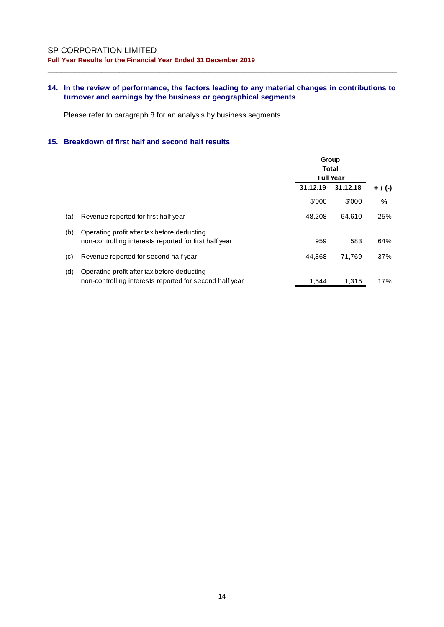### **14. In the review of performance, the factors leading to any material changes in contributions to turnover and earnings by the business or geographical segments**

\_\_\_\_\_\_\_\_\_\_\_\_\_\_\_\_\_\_\_\_\_\_\_\_\_\_\_\_\_\_\_\_\_\_\_\_\_\_\_\_\_\_\_\_\_\_\_\_\_\_\_\_\_\_\_\_\_\_\_\_\_\_\_\_\_\_\_\_\_\_\_\_\_\_\_\_\_\_

Please refer to paragraph 8 for an analysis by business segments.

### **15. Breakdown of first half and second half results**

|     |                                                                                                        | Group<br>Total<br><b>Full Year</b> |          |           |
|-----|--------------------------------------------------------------------------------------------------------|------------------------------------|----------|-----------|
|     |                                                                                                        | 31.12.19                           | 31.12.18 | $+$ / (-) |
|     |                                                                                                        | \$'000                             | \$'000   | %         |
| (a) | Revenue reported for first half year                                                                   | 48.208                             | 64.610   | $-25%$    |
| (b) | Operating profit after tax before deducting<br>non-controlling interests reported for first half year  | 959                                | 583      | 64%       |
| (c) | Revenue reported for second half year                                                                  | 44.868                             | 71.769   | $-37%$    |
| (d) | Operating profit after tax before deducting<br>non-controlling interests reported for second half year | 1.544                              | 1.315    | 17%       |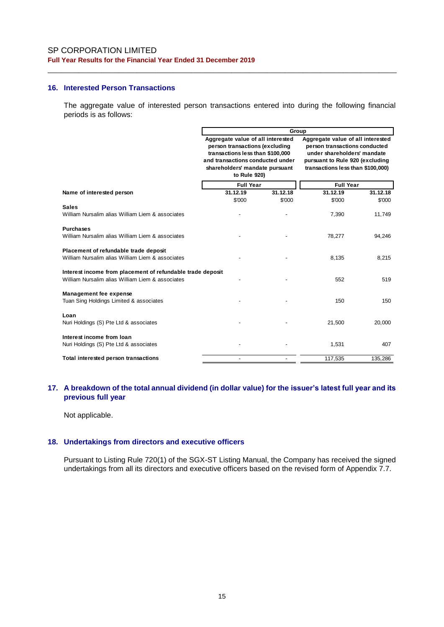#### **16. Interested Person Transactions**

The aggregate value of interested person transactions entered into during the following financial periods is as follows:

\_\_\_\_\_\_\_\_\_\_\_\_\_\_\_\_\_\_\_\_\_\_\_\_\_\_\_\_\_\_\_\_\_\_\_\_\_\_\_\_\_\_\_\_\_\_\_\_\_\_\_\_\_\_\_\_\_\_\_\_\_\_\_\_\_\_\_\_\_\_\_\_\_\_\_\_\_\_

|                                                                                                                | Group                                                                                                                                                                                         |          |                                                                                                                                                                           |          |  |
|----------------------------------------------------------------------------------------------------------------|-----------------------------------------------------------------------------------------------------------------------------------------------------------------------------------------------|----------|---------------------------------------------------------------------------------------------------------------------------------------------------------------------------|----------|--|
|                                                                                                                | Aggregate value of all interested<br>person transactions (excluding<br>transactions less than \$100,000<br>and transactions conducted under<br>shareholders' mandate pursuant<br>to Rule 920) |          | Aggregate value of all interested<br>person transactions conducted<br>under shareholders' mandate<br>pursuant to Rule 920 (excluding<br>transactions less than \$100,000) |          |  |
|                                                                                                                | <b>Full Year</b>                                                                                                                                                                              |          | <b>Full Year</b>                                                                                                                                                          |          |  |
| Name of interested person                                                                                      | 31.12.19                                                                                                                                                                                      | 31.12.18 | 31.12.19                                                                                                                                                                  | 31.12.18 |  |
|                                                                                                                | \$'000                                                                                                                                                                                        | \$'000   | \$'000                                                                                                                                                                    | \$'000   |  |
| <b>Sales</b><br>William Nursalim alias William Liem & associates                                               |                                                                                                                                                                                               |          | 7,390                                                                                                                                                                     | 11,749   |  |
| <b>Purchases</b><br>William Nursalim alias William Liem & associates                                           |                                                                                                                                                                                               |          | 78,277                                                                                                                                                                    | 94,246   |  |
|                                                                                                                |                                                                                                                                                                                               |          |                                                                                                                                                                           |          |  |
| Placement of refundable trade deposit<br>William Nursalim alias William Liem & associates                      |                                                                                                                                                                                               |          | 8,135                                                                                                                                                                     | 8,215    |  |
| Interest income from placement of refundable trade deposit<br>William Nursalim alias William Liem & associates |                                                                                                                                                                                               |          | 552                                                                                                                                                                       | 519      |  |
| <b>Management fee expense</b><br>Tuan Sing Holdings Limited & associates                                       |                                                                                                                                                                                               |          | 150                                                                                                                                                                       | 150      |  |
| Loan<br>Nuri Holdings (S) Pte Ltd & associates                                                                 |                                                                                                                                                                                               |          | 21,500                                                                                                                                                                    | 20,000   |  |
| Interest income from loan<br>Nuri Holdings (S) Pte Ltd & associates                                            |                                                                                                                                                                                               |          | 1,531                                                                                                                                                                     | 407      |  |
| Total interested person transactions                                                                           |                                                                                                                                                                                               |          | 117,535                                                                                                                                                                   | 135,286  |  |

### **17. A breakdown of the total annual dividend (in dollar value) for the issuer's latest full year and its previous full year**

Not applicable.

#### **18. Undertakings from directors and executive officers**

Pursuant to Listing Rule 720(1) of the SGX-ST Listing Manual, the Company has received the signed undertakings from all its directors and executive officers based on the revised form of Appendix 7.7.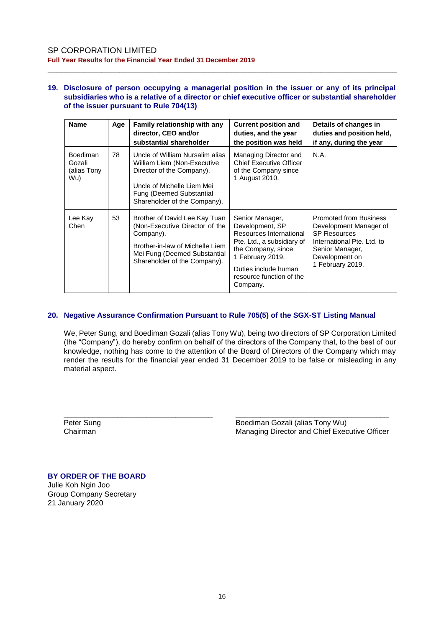#### **19. Disclosure of person occupying a managerial position in the issuer or any of its principal subsidiaries who is a relative of a director or chief executive officer or substantial shareholder of the issuer pursuant to Rule 704(13)**

\_\_\_\_\_\_\_\_\_\_\_\_\_\_\_\_\_\_\_\_\_\_\_\_\_\_\_\_\_\_\_\_\_\_\_\_\_\_\_\_\_\_\_\_\_\_\_\_\_\_\_\_\_\_\_\_\_\_\_\_\_\_\_\_\_\_\_\_\_\_\_\_\_\_\_\_\_\_

| <b>Name</b>                              | Age | Family relationship with any<br>director, CEO and/or<br>substantial shareholder                                                                                                              | <b>Current position and</b><br>duties, and the year<br>the position was held                                                                                                                          | Details of changes in<br>duties and position held,<br>if any, during the year                                                                                         |
|------------------------------------------|-----|----------------------------------------------------------------------------------------------------------------------------------------------------------------------------------------------|-------------------------------------------------------------------------------------------------------------------------------------------------------------------------------------------------------|-----------------------------------------------------------------------------------------------------------------------------------------------------------------------|
| Boediman<br>Gozali<br>(alias Tony<br>Wu) | 78  | Uncle of William Nursalim alias<br>William Liem (Non-Executive<br>Director of the Company).<br>Uncle of Michelle Liem Mei<br><b>Fung (Deemed Substantial</b><br>Shareholder of the Company). | Managing Director and<br><b>Chief Executive Officer</b><br>of the Company since<br>1 August 2010.                                                                                                     | N.A.                                                                                                                                                                  |
| Lee Kay<br>Chen                          | 53  | Brother of David Lee Kay Tuan<br>(Non-Executive Director of the<br>Company).<br>Brother-in-law of Michelle Liem<br>Mei Fung (Deemed Substantial<br>Shareholder of the Company).              | Senior Manager,<br>Development, SP<br>Resources International<br>Pte. Ltd., a subsidiary of<br>the Company, since<br>1 February 2019.<br>Duties include human<br>resource function of the<br>Company. | <b>Promoted from Business</b><br>Development Manager of<br><b>SP Resources</b><br>International Pte. Ltd. to<br>Senior Manager,<br>Development on<br>1 February 2019. |

### **20. Negative Assurance Confirmation Pursuant to Rule 705(5) of the SGX-ST Listing Manual**

We, Peter Sung, and Boediman Gozali (alias Tony Wu), being two directors of SP Corporation Limited (the "Company"), do hereby confirm on behalf of the directors of the Company that, to the best of our knowledge, nothing has come to the attention of the Board of Directors of the Company which may render the results for the financial year ended 31 December 2019 to be false or misleading in any material aspect.

\_\_\_\_\_\_\_\_\_\_\_\_\_\_\_\_\_\_\_\_\_\_\_\_\_\_\_\_\_\_\_\_\_\_\_\_ \_\_\_\_\_\_\_\_\_\_\_\_\_\_\_\_\_\_\_\_\_\_\_\_\_\_\_\_\_\_\_\_\_\_\_\_\_ Peter Sung **Boediman Gozali (alias Tony Wu)** Chairman Managing Director and Chief Executive Officer

# **BY ORDER OF THE BOARD** Julie Koh Ngin Joo

Group Company Secretary 21 January 2020